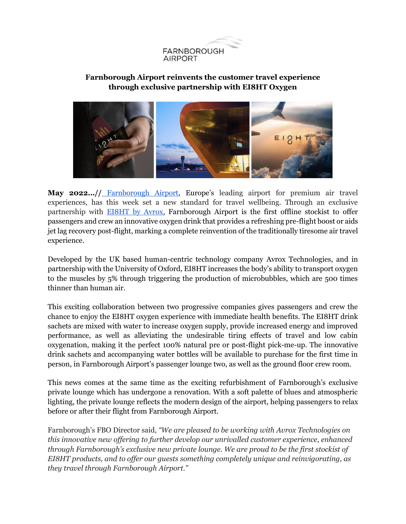

## **Farnborough Airport reinvents the customer travel experience through exclusive partnership with EI8HT Oxygen**



May 2022...// [Farnborough Airport](https://www.farnboroughairport.com/), Europe's leading airport for premium air travel experiences, has this week set a new standard for travel wellbeing. Through an exclusive partnership with [EI8HT by Avrox,](https://www.avrox.co.uk/) Farnborough Airport is the first offline stockist to offer passengers and crew an innovative oxygen drink that provides a refreshing pre-flight boost or aids jet lag recovery post-flight, marking a complete reinvention of the traditionally tiresome air travel experience.

Developed by the UK based human-centric technology company Avrox Technologies, and in partnership with the University of Oxford, EI8HT increases the body's ability to transport oxygen to the muscles by 5% through triggering the production of microbubbles, which are 500 times thinner than human air.

This exciting collaboration between two progressive companies gives passengers and crew the chance to enjoy the EI8HT oxygen experience with immediate health benefits. The EI8HT drink sachets are mixed with water to increase oxygen supply, provide increased energy and improved performance, as well as alleviating the undesirable tiring effects of travel and low cabin oxygenation, making it the perfect 100% natural pre or post-flight pick-me-up. The innovative drink sachets and accompanying water bottles will be available to purchase for the first time in person, in Farnborough Airport's passenger lounge two, as well as the ground floor crew room.

This news comes at the same time as the exciting refurbishment of Farnborough's exclusive private lounge which has undergone a renovation. With a soft palette of blues and atmospheric lighting, the private lounge reflects the modern design of the airport, helping passengers to relax before or after their flight from Farnborough Airport.

Farnborough's FBO Director said, *"We are pleased to be working with Avrox Technologies on this innovative new offering to further develop our unrivalled customer experience, enhanced through Farnborough's exclusive new private lounge. We are proud to be the first stockist of EI8HT products, and to offer our guests something completely unique and reinvigorating, as they travel through Farnborough Airport."*